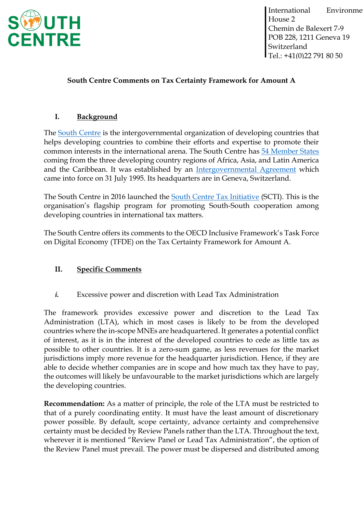

# **South Centre Comments on Tax Certainty Framework for Amount A**

# **I. Background**

The [South Centre](https://www.southcentre.int/about-the-south-centre/) is the intergovernmental organization of developing countries that helps developing countries to combine their efforts and expertise to promote their common interests in the international arena. The South Centre has [54 Member States](https://www.southcentre.int/member-countries/) coming from the three developing country regions of Africa, Asia, and Latin America and the Caribbean. It was established by an [Intergovernmental Agreement](https://www.southcentre.int/wp-content/uploads/2013/02/Intergovernmental-Agreement_EN.pdf) which came into force on 31 July 1995. Its headquarters are in Geneva, Switzerland.

The South Centre in 2016 launched the [South Centre Tax Initiative](https://taxinitiative.southcentre.int/) (SCTI). This is the organisation's flagship program for promoting South-South cooperation among developing countries in international tax matters.

The South Centre offers its comments to the OECD Inclusive Framework's Task Force on Digital Economy (TFDE) on the Tax Certainty Framework for Amount A.

### **II. Specific Comments**

*i.* Excessive power and discretion with Lead Tax Administration

The framework provides excessive power and discretion to the Lead Tax Administration (LTA), which in most cases is likely to be from the developed countries where the in-scope MNEs are headquartered. It generates a potential conflict of interest, as it is in the interest of the developed countries to cede as little tax as possible to other countries. It is a zero-sum game, as less revenues for the market jurisdictions imply more revenue for the headquarter jurisdiction. Hence, if they are able to decide whether companies are in scope and how much tax they have to pay, the outcomes will likely be unfavourable to the market jurisdictions which are largely the developing countries.

**Recommendation:** As a matter of principle, the role of the LTA must be restricted to that of a purely coordinating entity. It must have the least amount of discretionary power possible. By default, scope certainty, advance certainty and comprehensive certainty must be decided by Review Panels rather than the LTA. Throughout the text, wherever it is mentioned "Review Panel or Lead Tax Administration", the option of the Review Panel must prevail. The power must be dispersed and distributed among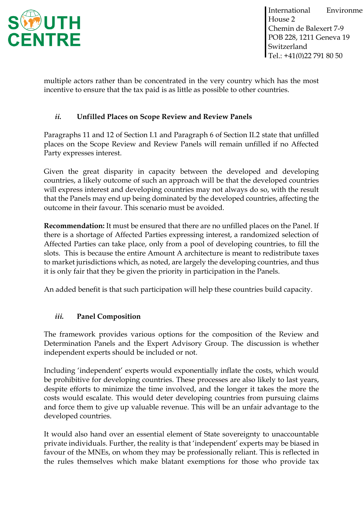

multiple actors rather than be concentrated in the very country which has the most incentive to ensure that the tax paid is as little as possible to other countries.

# *ii.* **Unfilled Places on Scope Review and Review Panels**

Paragraphs 11 and 12 of Section I.1 and Paragraph 6 of Section II.2 state that unfilled places on the Scope Review and Review Panels will remain unfilled if no Affected Party expresses interest.

Given the great disparity in capacity between the developed and developing countries, a likely outcome of such an approach will be that the developed countries will express interest and developing countries may not always do so, with the result that the Panels may end up being dominated by the developed countries, affecting the outcome in their favour. This scenario must be avoided.

**Recommendation:** It must be ensured that there are no unfilled places on the Panel. If there is a shortage of Affected Parties expressing interest, a randomized selection of Affected Parties can take place, only from a pool of developing countries, to fill the slots. This is because the entire Amount A architecture is meant to redistribute taxes to market jurisdictions which, as noted, are largely the developing countries, and thus it is only fair that they be given the priority in participation in the Panels.

An added benefit is that such participation will help these countries build capacity.

### *iii.* **Panel Composition**

The framework provides various options for the composition of the Review and Determination Panels and the Expert Advisory Group. The discussion is whether independent experts should be included or not.

Including 'independent' experts would exponentially inflate the costs, which would be prohibitive for developing countries. These processes are also likely to last years, despite efforts to minimize the time involved, and the longer it takes the more the costs would escalate. This would deter developing countries from pursuing claims and force them to give up valuable revenue. This will be an unfair advantage to the developed countries.

It would also hand over an essential element of State sovereignty to unaccountable private individuals. Further, the reality is that 'independent' experts may be biased in favour of the MNEs, on whom they may be professionally reliant. This is reflected in the rules themselves which make blatant exemptions for those who provide tax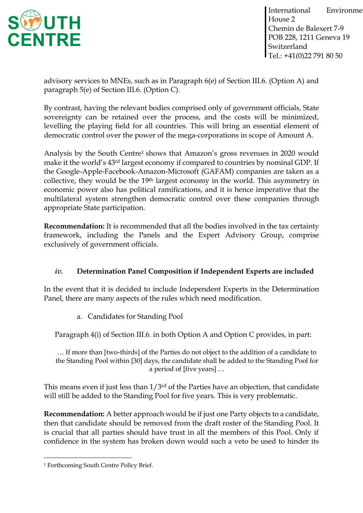

advisory services to MNEs, such as in Paragraph 6(e) of Section III.6. (Option A) and paragraph 5(e) of Section III.6. (Option C).

By contrast, having the relevant bodies comprised only of government officials, State sovereignty can be retained over the process, and the costs will be minimized, levelling the playing field for all countries. This will bring an essential element of democratic control over the power of the mega-corporations in scope of Amount A.

Analysis by the South Centre<sup>1</sup> shows that Amazon's gross revenues in 2020 would make it the world's 43rd largest economy if compared to countries by nominal GDP. If the Google-Apple-Facebook-Amazon-Microsoft (GAFAM) companies are taken as a collective, they would be the 19<sup>th</sup> largest economy in the world. This asymmetry in economic power also has political ramifications, and it is hence imperative that the multilateral system strengthen democratic control over these companies through appropriate State participation.

**Recommendation:** It is recommended that all the bodies involved in the tax certainty framework, including the Panels and the Expert Advisory Group, comprise exclusively of government officials.

# *iv.* **Determination Panel Composition if Independent Experts are included**

In the event that it is decided to include Independent Experts in the Determination Panel, there are many aspects of the rules which need modification.

a. Candidates for Standing Pool

Paragraph 4(i) of Section III.6. in both Option A and Option C provides, in part:

… If more than [two-thirds] of the Parties do not object to the addition of a candidate to the Standing Pool within [30] days, the candidate shall be added to the Standing Pool for a period of [five years] …

This means even if just less than  $1/3^{rd}$  of the Parties have an objection, that candidate will still be added to the Standing Pool for five years. This is very problematic.

**Recommendation:** A better approach would be if just one Party objects to a candidate, then that candidate should be removed from the draft roster of the Standing Pool. It is crucial that all parties should have trust in all the members of this Pool. Only if confidence in the system has broken down would such a veto be used to hinder its

<sup>1</sup> Forthcoming South Centre Policy Brief.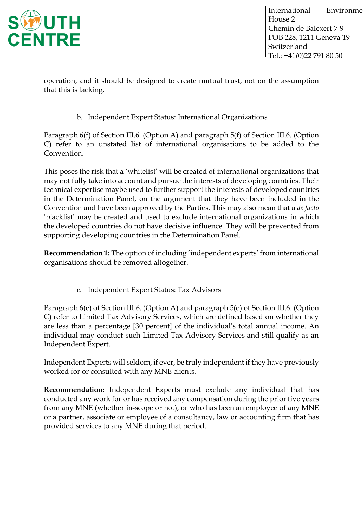

operation, and it should be designed to create mutual trust, not on the assumption that this is lacking.

b. Independent Expert Status: International Organizations

Paragraph 6(f) of Section III.6. (Option A) and paragraph 5(f) of Section III.6. (Option C) refer to an unstated list of international organisations to be added to the Convention.

This poses the risk that a 'whitelist' will be created of international organizations that may not fully take into account and pursue the interests of developing countries. Their technical expertise maybe used to further support the interests of developed countries in the Determination Panel, on the argument that they have been included in the Convention and have been approved by the Parties. This may also mean that a *de facto*  'blacklist' may be created and used to exclude international organizations in which the developed countries do not have decisive influence. They will be prevented from supporting developing countries in the Determination Panel.

**Recommendation 1:** The option of including 'independent experts' from international organisations should be removed altogether.

c. Independent Expert Status: Tax Advisors

Paragraph 6(e) of Section III.6. (Option A) and paragraph 5(e) of Section III.6. (Option C) refer to Limited Tax Advisory Services, which are defined based on whether they are less than a percentage [30 percent] of the individual's total annual income. An individual may conduct such Limited Tax Advisory Services and still qualify as an Independent Expert.

Independent Experts will seldom, if ever, be truly independent if they have previously worked for or consulted with any MNE clients.

**Recommendation:** Independent Experts must exclude any individual that has conducted any work for or has received any compensation during the prior five years from any MNE (whether in-scope or not), or who has been an employee of any MNE or a partner, associate or employee of a consultancy, law or accounting firm that has provided services to any MNE during that period.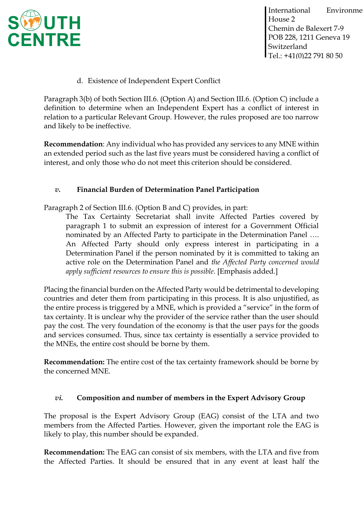

d. Existence of Independent Expert Conflict

Paragraph 3(b) of both Section III.6. (Option A) and Section III.6. (Option C) include a definition to determine when an Independent Expert has a conflict of interest in relation to a particular Relevant Group. However, the rules proposed are too narrow and likely to be ineffective.

**Recommendation**: Any individual who has provided any services to any MNE within an extended period such as the last five years must be considered having a conflict of interest, and only those who do not meet this criterion should be considered.

### *v.* **Financial Burden of Determination Panel Participation**

Paragraph 2 of Section III.6. (Option B and C) provides, in part:

The Tax Certainty Secretariat shall invite Affected Parties covered by paragraph 1 to submit an expression of interest for a Government Official nominated by an Affected Party to participate in the Determination Panel …. An Affected Party should only express interest in participating in a Determination Panel if the person nominated by it is committed to taking an active role on the Determination Panel and *the Affected Party concerned would apply sufficient resources to ensure this is possible*. [Emphasis added.]

Placing the financial burden on the Affected Party would be detrimental to developing countries and deter them from participating in this process. It is also unjustified, as the entire process is triggered by a MNE, which is provided a "service" in the form of tax certainty. It is unclear why the provider of the service rather than the user should pay the cost. The very foundation of the economy is that the user pays for the goods and services consumed. Thus, since tax certainty is essentially a service provided to the MNEs, the entire cost should be borne by them.

**Recommendation:** The entire cost of the tax certainty framework should be borne by the concerned MNE.

### *vi.* **Composition and number of members in the Expert Advisory Group**

The proposal is the Expert Advisory Group (EAG) consist of the LTA and two members from the Affected Parties. However, given the important role the EAG is likely to play, this number should be expanded.

**Recommendation:** The EAG can consist of six members, with the LTA and five from the Affected Parties. It should be ensured that in any event at least half the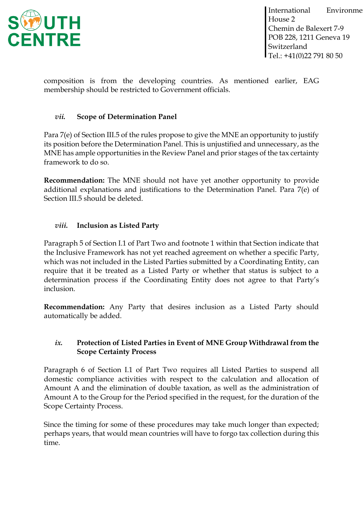

composition is from the developing countries. As mentioned earlier, EAG membership should be restricted to Government officials.

### *vii.* **Scope of Determination Panel**

Para 7(e) of Section III.5 of the rules propose to give the MNE an opportunity to justify its position before the Determination Panel. This is unjustified and unnecessary, as the MNE has ample opportunities in the Review Panel and prior stages of the tax certainty framework to do so.

**Recommendation:** The MNE should not have yet another opportunity to provide additional explanations and justifications to the Determination Panel. Para 7(e) of Section III.5 should be deleted.

#### *viii.* **Inclusion as Listed Party**

Paragraph 5 of Section I.1 of Part Two and footnote 1 within that Section indicate that the Inclusive Framework has not yet reached agreement on whether a specific Party, which was not included in the Listed Parties submitted by a Coordinating Entity, can require that it be treated as a Listed Party or whether that status is subject to a determination process if the Coordinating Entity does not agree to that Party's inclusion.

**Recommendation:** Any Party that desires inclusion as a Listed Party should automatically be added.

#### *ix.* **Protection of Listed Parties in Event of MNE Group Withdrawal from the Scope Certainty Process**

Paragraph 6 of Section I.1 of Part Two requires all Listed Parties to suspend all domestic compliance activities with respect to the calculation and allocation of Amount A and the elimination of double taxation, as well as the administration of Amount A to the Group for the Period specified in the request, for the duration of the Scope Certainty Process.

Since the timing for some of these procedures may take much longer than expected; perhaps years, that would mean countries will have to forgo tax collection during this time.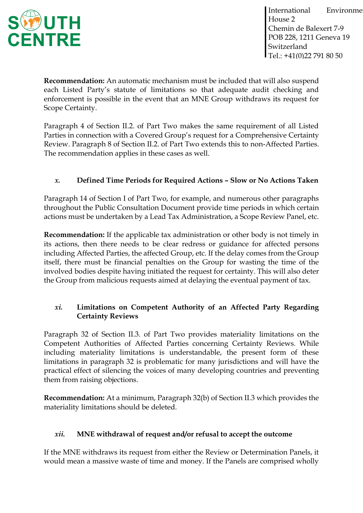

**Recommendation:** An automatic mechanism must be included that will also suspend each Listed Party's statute of limitations so that adequate audit checking and enforcement is possible in the event that an MNE Group withdraws its request for Scope Certainty.

Paragraph 4 of Section II.2. of Part Two makes the same requirement of all Listed Parties in connection with a Covered Group's request for a Comprehensive Certainty Review. Paragraph 8 of Section II.2. of Part Two extends this to non-Affected Parties. The recommendation applies in these cases as well.

# *x.* **Defined Time Periods for Required Actions – Slow or No Actions Taken**

Paragraph 14 of Section I of Part Two, for example, and numerous other paragraphs throughout the Public Consultation Document provide time periods in which certain actions must be undertaken by a Lead Tax Administration, a Scope Review Panel, etc.

**Recommendation:** If the applicable tax administration or other body is not timely in its actions, then there needs to be clear redress or guidance for affected persons including Affected Parties, the affected Group, etc. If the delay comes from the Group itself, there must be financial penalties on the Group for wasting the time of the involved bodies despite having initiated the request for certainty. This will also deter the Group from malicious requests aimed at delaying the eventual payment of tax.

# *xi.* **Limitations on Competent Authority of an Affected Party Regarding Certainty Reviews**

Paragraph 32 of Section II.3. of Part Two provides materiality limitations on the Competent Authorities of Affected Parties concerning Certainty Reviews. While including materiality limitations is understandable, the present form of these limitations in paragraph 32 is problematic for many jurisdictions and will have the practical effect of silencing the voices of many developing countries and preventing them from raising objections.

**Recommendation:** At a minimum, Paragraph 32(b) of Section II.3 which provides the materiality limitations should be deleted.

### *xii.* **MNE withdrawal of request and/or refusal to accept the outcome**

If the MNE withdraws its request from either the Review or Determination Panels, it would mean a massive waste of time and money. If the Panels are comprised wholly